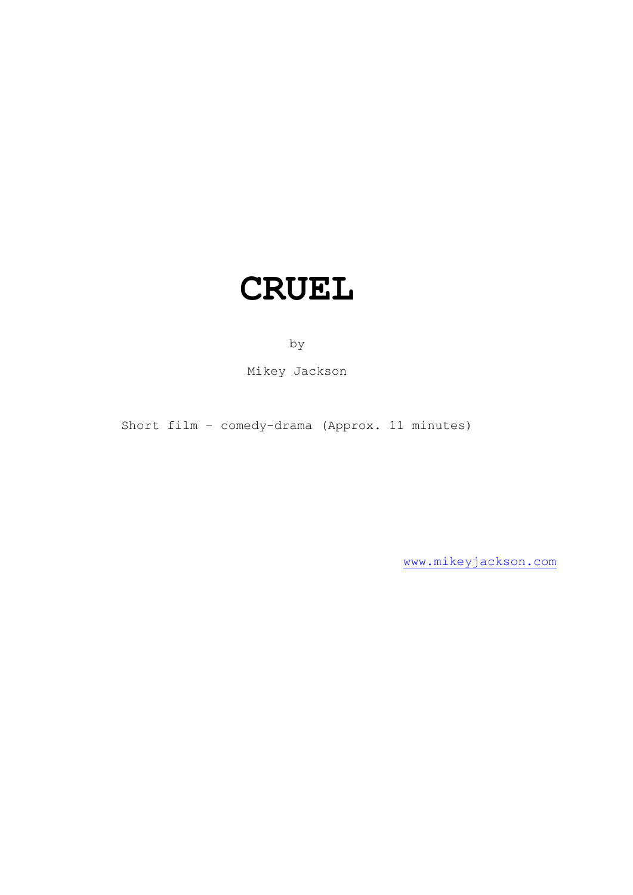# **CRUEL**

by

Mikey Jackson

Short film – comedy-drama (Approx. 11 minutes)

[www.mikeyjackson.com](http://www.mikeyjackson.com/)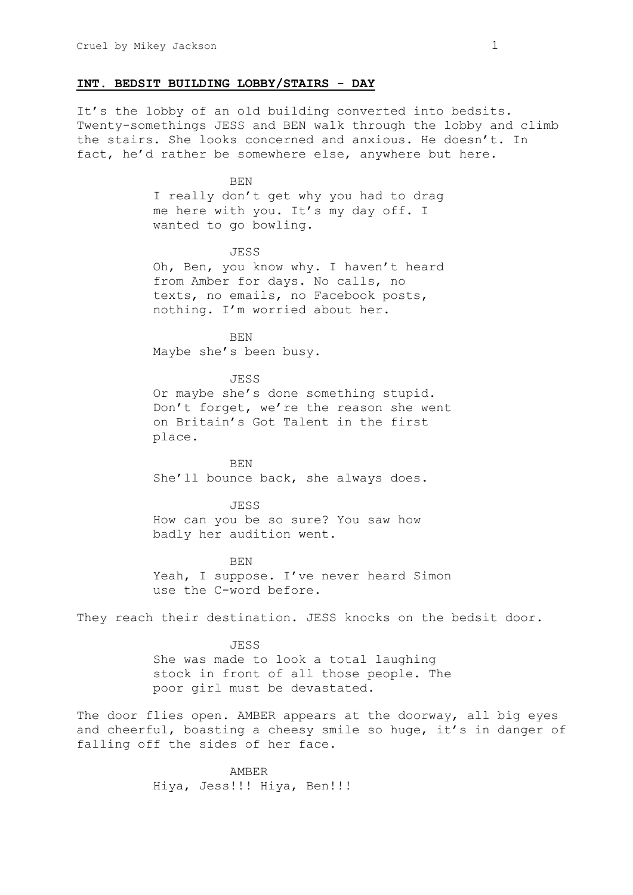### **INT. BEDSIT BUILDING LOBBY/STAIRS - DAY**

It's the lobby of an old building converted into bedsits. Twenty-somethings JESS and BEN walk through the lobby and climb the stairs. She looks concerned and anxious. He doesn't. In fact, he'd rather be somewhere else, anywhere but here.

> BEN I really don't get why you had to drag me here with you. It's my day off. I wanted to go bowling.

> JESS Oh, Ben, you know why. I haven't heard from Amber for days. No calls, no texts, no emails, no Facebook posts, nothing. I'm worried about her.

BEN Maybe she's been busy.

JESS Or maybe she's done something stupid. Don't forget, we're the reason she went on Britain's Got Talent in the first place.

BEN She'll bounce back, she always does.

JESS How can you be so sure? You saw how badly her audition went.

BEN Yeah, I suppose. I've never heard Simon use the C-word before.

They reach their destination. JESS knocks on the bedsit door.

JESS She was made to look a total laughing stock in front of all those people. The poor girl must be devastated.

The door flies open. AMBER appears at the doorway, all big eyes and cheerful, boasting a cheesy smile so huge, it's in danger of falling off the sides of her face.

> AMBER Hiya, Jess!!! Hiya, Ben!!!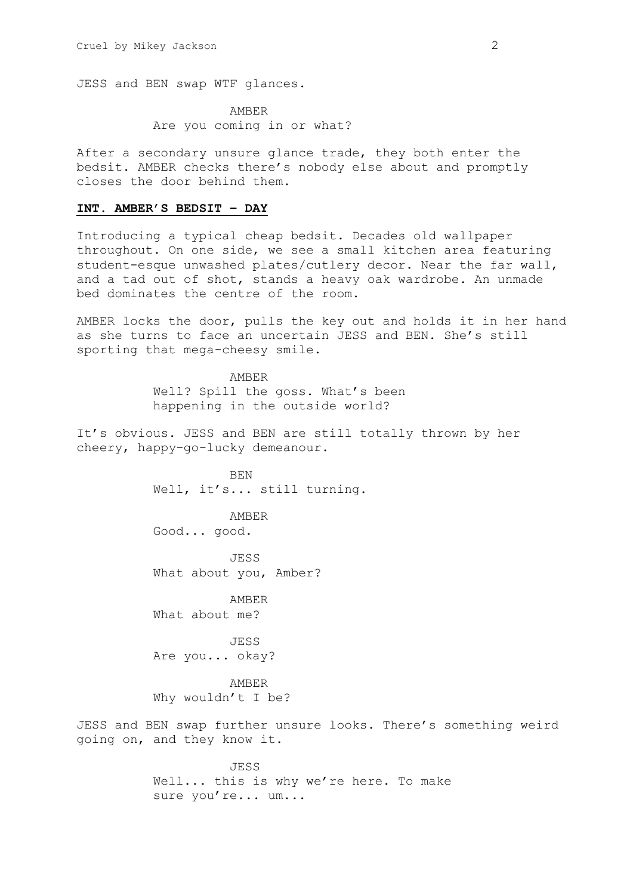JESS and BEN swap WTF glances.

AMBER Are you coming in or what?

After a secondary unsure glance trade, they both enter the bedsit. AMBER checks there's nobody else about and promptly closes the door behind them.

# **INT. AMBER'S BEDSIT – DAY**

Introducing a typical cheap bedsit. Decades old wallpaper throughout. On one side, we see a small kitchen area featuring student-esque unwashed plates/cutlery decor. Near the far wall, and a tad out of shot, stands a heavy oak wardrobe. An unmade bed dominates the centre of the room.

AMBER locks the door, pulls the key out and holds it in her hand as she turns to face an uncertain JESS and BEN. She's still sporting that mega-cheesy smile.

> AMBER Well? Spill the goss. What's been happening in the outside world?

It's obvious. JESS and BEN are still totally thrown by her cheery, happy-go-lucky demeanour.

> BEN Well, it's... still turning.

AMBER Good... good.

JESS What about you, Amber?

AMBER What about me?

JESS Are you... okay?

AMBER Why wouldn't I be?

JESS and BEN swap further unsure looks. There's something weird going on, and they know it.

> JESS Well... this is why we're here. To make sure you're... um...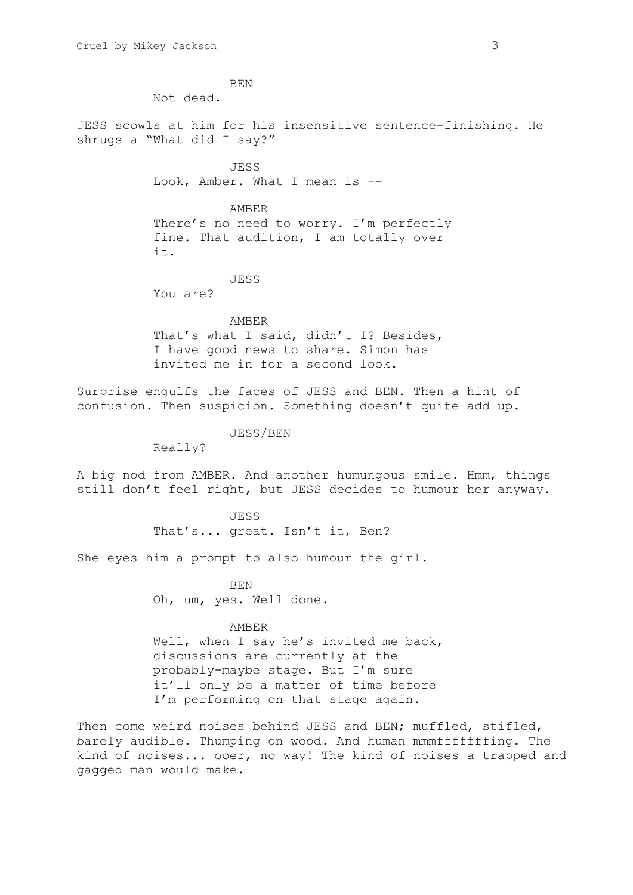BEN Not dead. JESS scowls at him for his insensitive sentence-finishing. He shrugs a "What did I say?" JESS Look, Amber. What I mean is –- AMBER There's no need to worry. I'm perfectly fine. That audition, I am totally over it. JESS You are? AMBER That's what I said, didn't I? Besides, I have good news to share. Simon has invited me in for a second look. Surprise engulfs the faces of JESS and BEN. Then a hint of confusion. Then suspicion. Something doesn't quite add up. JESS/BEN Really? A big nod from AMBER. And another humungous smile. Hmm, things still don't feel right, but JESS decides to humour her anyway. JESS That's... great. Isn't it, Ben? She eyes him a prompt to also humour the girl. BEN Oh, um, yes. Well done. AMBER Well, when I say he's invited me back, discussions are currently at the probably-maybe stage. But I'm sure it'll only be a matter of time before I'm performing on that stage again. Then come weird noises behind JESS and BEN; muffled, stifled,

barely audible. Thumping on wood. And human mmmfffffffing. The kind of noises... ooer, no way! The kind of noises a trapped and gagged man would make.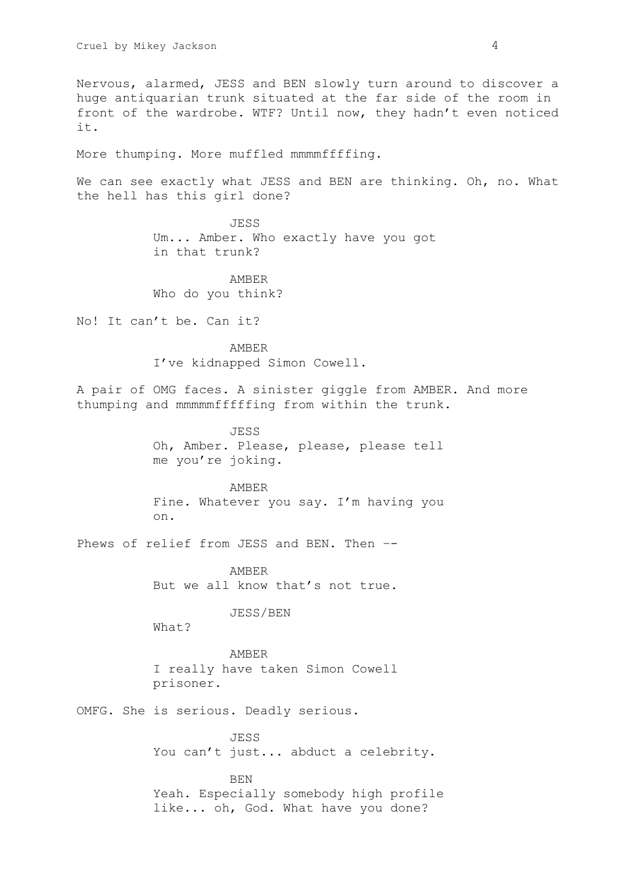Nervous, alarmed, JESS and BEN slowly turn around to discover a huge antiquarian trunk situated at the far side of the room in front of the wardrobe. WTF? Until now, they hadn't even noticed it.

More thumping. More muffled mmmmffffing.

We can see exactly what JESS and BEN are thinking. Oh, no. What the hell has this girl done?

> JESS Um... Amber. Who exactly have you got in that trunk?

AMBER Who do you think?

No! It can't be. Can it?

AMBER I've kidnapped Simon Cowell.

A pair of OMG faces. A sinister giggle from AMBER. And more thumping and mmmmmfffffing from within the trunk.

> JESS Oh, Amber. Please, please, please tell me you're joking.

> AMBER Fine. Whatever you say. I'm having you on.

Phews of relief from JESS and BEN. Then --

AMBER But we all know that's not true.

JESS/BEN

What?

AMBER I really have taken Simon Cowell prisoner.

OMFG. She is serious. Deadly serious.

JESS You can't just... abduct a celebrity.

BEN

Yeah. Especially somebody high profile like... oh, God. What have you done?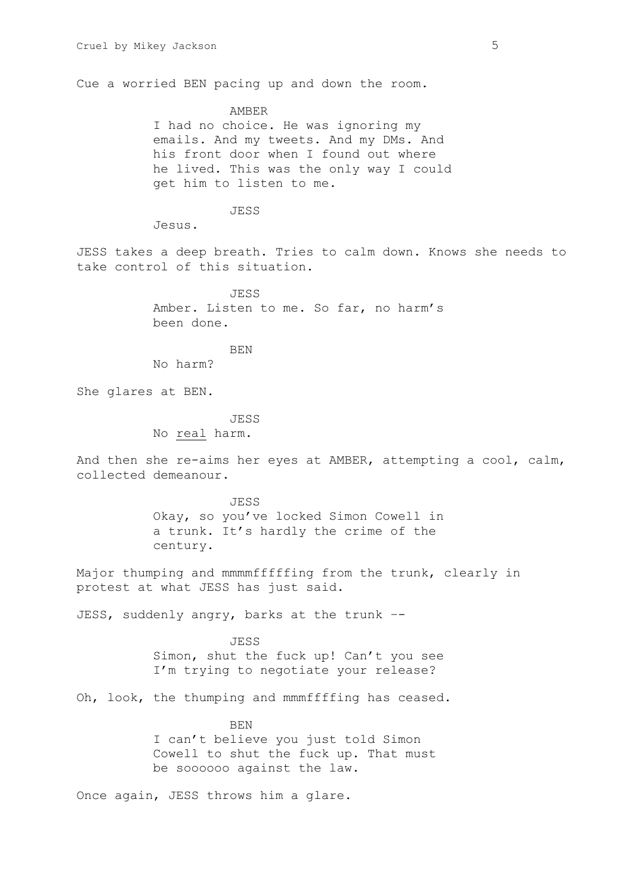Cue a worried BEN pacing up and down the room.

AMBER I had no choice. He was ignoring my emails. And my tweets. And my DMs. And his front door when I found out where he lived. This was the only way I could get him to listen to me.

JESS

Jesus.

JESS takes a deep breath. Tries to calm down. Knows she needs to take control of this situation.

> JESS Amber. Listen to me. So far, no harm's been done.

> > BEN

No harm?

She glares at BEN.

JESS

No real harm.

And then she re-aims her eyes at AMBER, attempting a cool, calm, collected demeanour.

> JESS Okay, so you've locked Simon Cowell in a trunk. It's hardly the crime of the century.

Major thumping and mmmmfffffing from the trunk, clearly in protest at what JESS has just said.

JESS, suddenly angry, barks at the trunk --

JESS Simon, shut the fuck up! Can't you see I'm trying to negotiate your release?

Oh, look, the thumping and mmmffffing has ceased.

**BEN** I can't believe you just told Simon Cowell to shut the fuck up. That must be soooooo against the law.

Once again, JESS throws him a glare.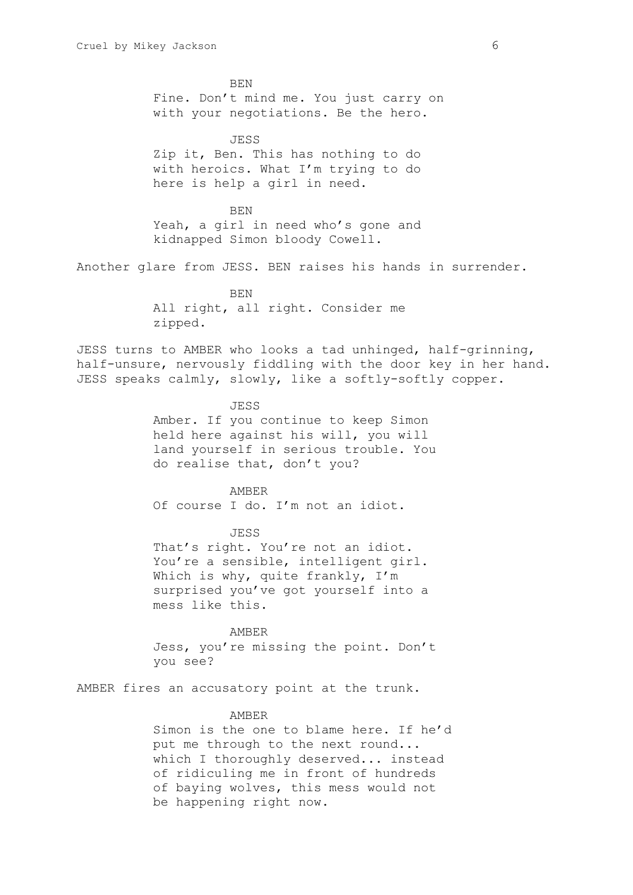BEN Fine. Don't mind me. You just carry on with your negotiations. Be the hero. JESS Zip it, Ben. This has nothing to do with heroics. What I'm trying to do here is help a girl in need. BEN Yeah, a girl in need who's gone and kidnapped Simon bloody Cowell. Another glare from JESS. BEN raises his hands in surrender. **BEN** All right, all right. Consider me zipped. JESS turns to AMBER who looks a tad unhinged, half-grinning, half-unsure, nervously fiddling with the door key in her hand. JESS speaks calmly, slowly, like a softly-softly copper. JESS Amber. If you continue to keep Simon held here against his will, you will land yourself in serious trouble. You do realise that, don't you? AMBER Of course I do. I'm not an idiot. JESS That's right. You're not an idiot. You're a sensible, intelligent girl. Which is why, quite frankly, I'm surprised you've got yourself into a mess like this. AMBER Jess, you're missing the point. Don't you see? AMBER fires an accusatory point at the trunk. AMBER Simon is the one to blame here. If he'd

put me through to the next round... which I thoroughly deserved... instead of ridiculing me in front of hundreds of baying wolves, this mess would not be happening right now.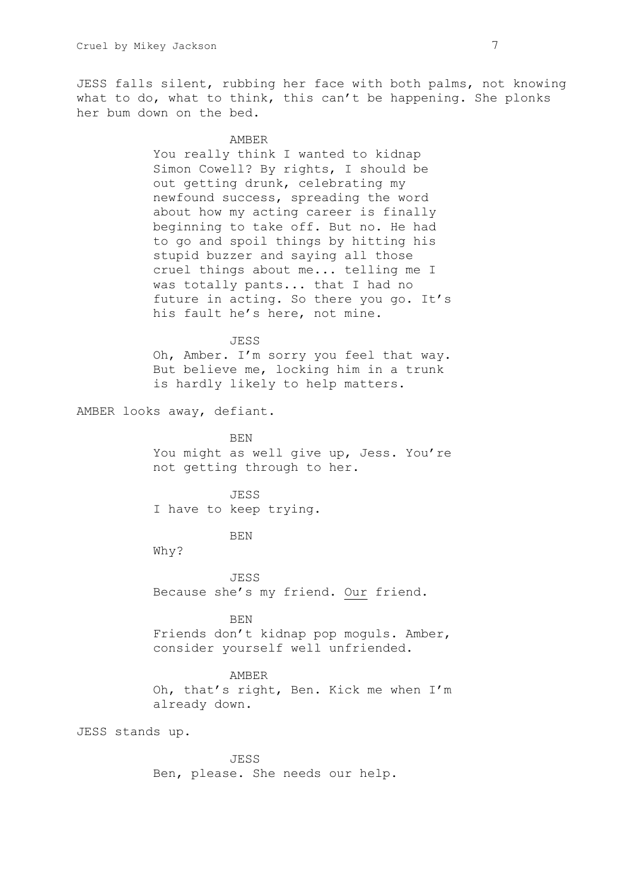JESS falls silent, rubbing her face with both palms, not knowing what to do, what to think, this can't be happening. She plonks her bum down on the bed.

#### AMBER

You really think I wanted to kidnap Simon Cowell? By rights, I should be out getting drunk, celebrating my newfound success, spreading the word about how my acting career is finally beginning to take off. But no. He had to go and spoil things by hitting his stupid buzzer and saying all those cruel things about me... telling me I was totally pants... that I had no future in acting. So there you go. It's his fault he's here, not mine.

# JESS Oh, Amber. I'm sorry you feel that way. But believe me, locking him in a trunk is hardly likely to help matters.

AMBER looks away, defiant.

BEN You might as well give up, Jess. You're not getting through to her.

JESS I have to keep trying.

BEN

Why?

JESS Because she's my friend. Our friend.

BEN

Friends don't kidnap pop moguls. Amber, consider yourself well unfriended.

## AMBER

Oh, that's right, Ben. Kick me when I'm already down.

JESS stands up.

JESS Ben, please. She needs our help.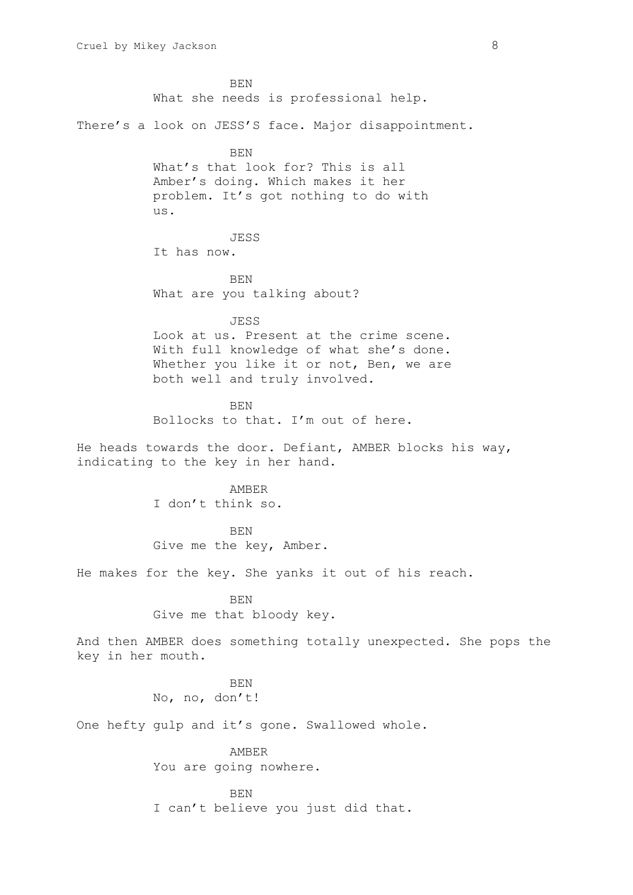BEN What she needs is professional help. There's a look on JESS'S face. Major disappointment. BEN What's that look for? This is all Amber's doing. Which makes it her problem. It's got nothing to do with us. JESS It has now. BEN What are you talking about? JESS Look at us. Present at the crime scene. With full knowledge of what she's done. Whether you like it or not, Ben, we are both well and truly involved. BEN Bollocks to that. I'm out of here. He heads towards the door. Defiant, AMBER blocks his way, indicating to the key in her hand. AMBER I don't think so. BEN Give me the key, Amber. He makes for the key. She yanks it out of his reach. BEN Give me that bloody key. And then AMBER does something totally unexpected. She pops the key in her mouth. **BEN** No, no, don't! One hefty gulp and it's gone. Swallowed whole. AMBER You are going nowhere. BEN I can't believe you just did that.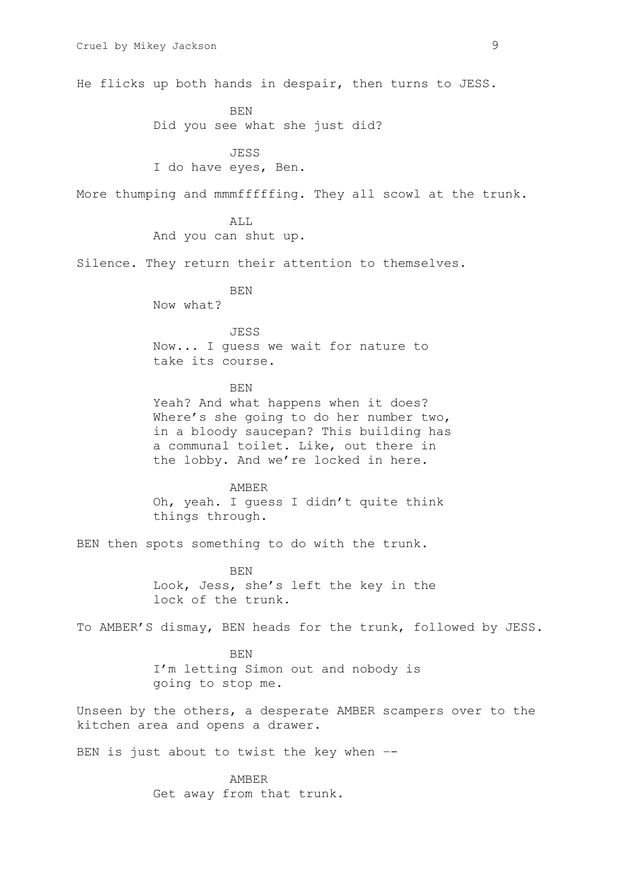He flicks up both hands in despair, then turns to JESS. BEN Did you see what she just did? JESS I do have eyes, Ben. More thumping and mmmfffffing. They all scowl at the trunk. ALL And you can shut up. Silence. They return their attention to themselves. **BEN** Now what? **JESS** Now... I guess we wait for nature to take its course. BEN Yeah? And what happens when it does? Where's she going to do her number two, in a bloody saucepan? This building has a communal toilet. Like, out there in the lobby. And we're locked in here. AMBER Oh, yeah. I guess I didn't quite think things through. BEN then spots something to do with the trunk. BEN Look, Jess, she's left the key in the lock of the trunk. To AMBER'S dismay, BEN heads for the trunk, followed by JESS. BEN I'm letting Simon out and nobody is going to stop me. Unseen by the others, a desperate AMBER scampers over to the kitchen area and opens a drawer. BEN is just about to twist the key when --

> AMBER Get away from that trunk.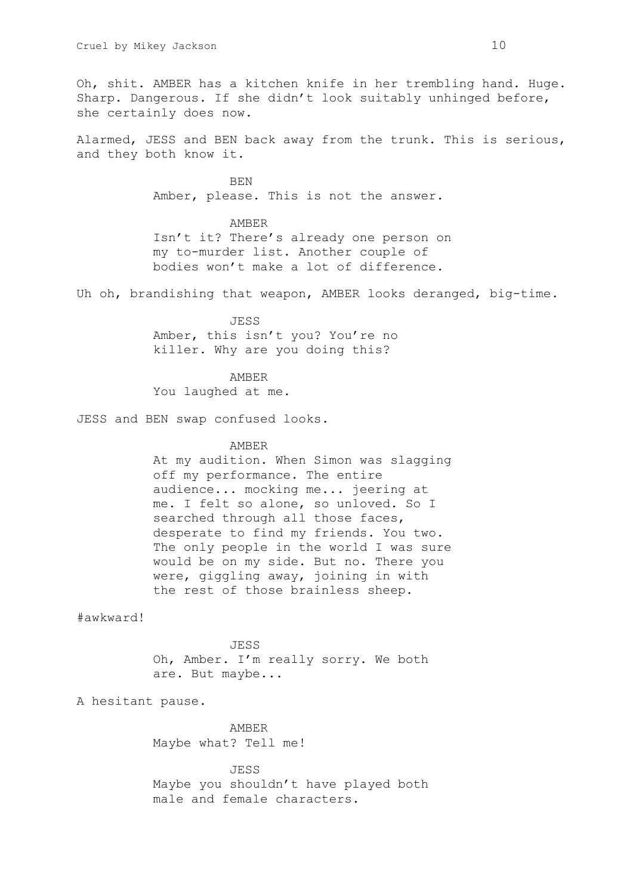Oh, shit. AMBER has a kitchen knife in her trembling hand. Huge. Sharp. Dangerous. If she didn't look suitably unhinged before, she certainly does now.

Alarmed, JESS and BEN back away from the trunk. This is serious, and they both know it.

> BEN Amber, please. This is not the answer.

AMBER Isn't it? There's already one person on my to-murder list. Another couple of bodies won't make a lot of difference.

Uh oh, brandishing that weapon, AMBER looks deranged, big-time.

JESS Amber, this isn't you? You're no killer. Why are you doing this?

AMBER You laughed at me.

JESS and BEN swap confused looks.

#### AMBER

At my audition. When Simon was slagging off my performance. The entire audience... mocking me... jeering at me. I felt so alone, so unloved. So I searched through all those faces, desperate to find my friends. You two. The only people in the world I was sure would be on my side. But no. There you were, giggling away, joining in with the rest of those brainless sheep.

#awkward!

JESS Oh, Amber. I'm really sorry. We both are. But maybe...

A hesitant pause.

AMBER Maybe what? Tell me!

JESS Maybe you shouldn't have played both male and female characters.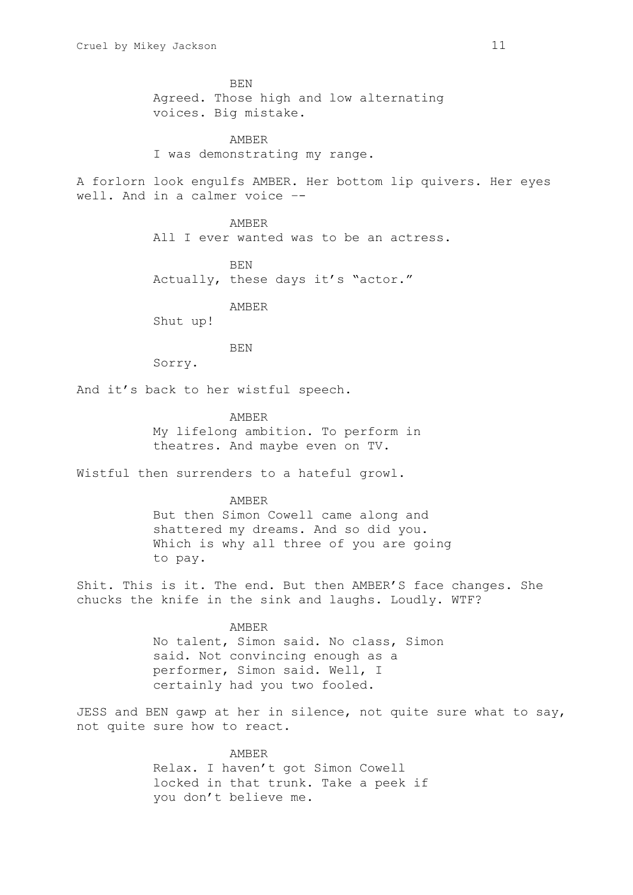BEN Agreed. Those high and low alternating voices. Big mistake.

AMBER I was demonstrating my range.

A forlorn look engulfs AMBER. Her bottom lip quivers. Her eyes well. And in a calmer voice –-

> AMBER All I ever wanted was to be an actress.

BEN Actually, these days it's "actor."

AMBER

Shut up!

BEN

Sorry.

And it's back to her wistful speech.

AMBER My lifelong ambition. To perform in theatres. And maybe even on TV.

Wistful then surrenders to a hateful growl.

AMBER

But then Simon Cowell came along and shattered my dreams. And so did you. Which is why all three of you are going to pay.

Shit. This is it. The end. But then AMBER'S face changes. She chucks the knife in the sink and laughs. Loudly. WTF?

> AMBER No talent, Simon said. No class, Simon said. Not convincing enough as a performer, Simon said. Well, I certainly had you two fooled.

JESS and BEN gawp at her in silence, not quite sure what to say, not quite sure how to react.

> AMBER Relax. I haven't got Simon Cowell locked in that trunk. Take a peek if you don't believe me.